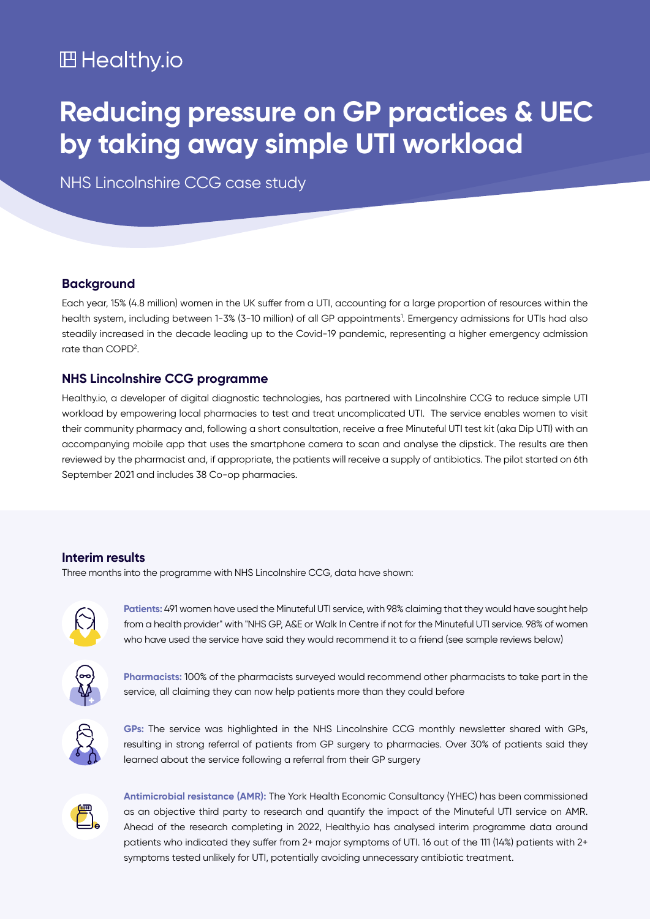## **凹 Healthy.io**

# **Reducing pressure on GP practices & UEC by taking away simple UTI workload**

NHS Lincolnshire CCG case study

#### **Background**

Each year, 15% (4.8 million) women in the UK suffer from a UTI, accounting for a large proportion of resources within the health system, including between 1-3% (3-10 million) of all GP appointments<sup>1</sup>. Emergency admissions for UTIs had also steadily increased in the decade leading up to the Covid-19 pandemic, representing a higher emergency admission rate than COPD<sup>2</sup>.

#### **NHS Lincolnshire CCG programme**

Healthy.io, a developer of digital diagnostic technologies, has partnered with Lincolnshire CCG to reduce simple UTI workload by empowering local pharmacies to test and treat uncomplicated UTI. The service enables women to visit their community pharmacy and, following a short consultation, receive a free Minuteful UTI test kit (aka Dip UTI) with an accompanying mobile app that uses the smartphone camera to scan and analyse the dipstick. The results are then reviewed by the pharmacist and, if appropriate, the patients will receive a supply of antibiotics. The pilot started on 6th September 2021 and includes 38 Co-op pharmacies.

#### **Interim** results

Three months into the programme with NHS Lincolnshire CCG, data have shown:



Patients: 491 women have used the Minuteful UTI service, with 98% claiming that they would have sought help from a health provider" with "NHS GP, A&E or Walk In Centre if not for the Minuteful UTI service. 98% of women who have used the service have said they would recommend it to a friend (see sample reviews below)



Pharmacists: 100% of the pharmacists surveyed would recommend other pharmacists to take part in the service, all claiming they can now help patients more than they could before



GPs: The service was highlighted in the NHS Lincolnshire CCG monthly newsletter shared with GPs, resulting in strong referral of patients from GP surgery to pharmacies. Over 30% of patients said they learned about the service following a referral from their GP surgery



**Antimicrobial resistance (AMR):** The York Health Economic Consultancy (YHEC) has been commissioned as an objective third party to research and quantify the impact of the Minuteful UTI service on AMR. Ahead of the research completing in 2022, Healthy io has analysed interim programme data around patients who indicated they suffer from 2+ major symptoms of UTI. 16 out of the 111 (14%) patients with 2+ symptoms tested unlikely for UTI, potentially avoiding unnecessary antibiotic treatment.